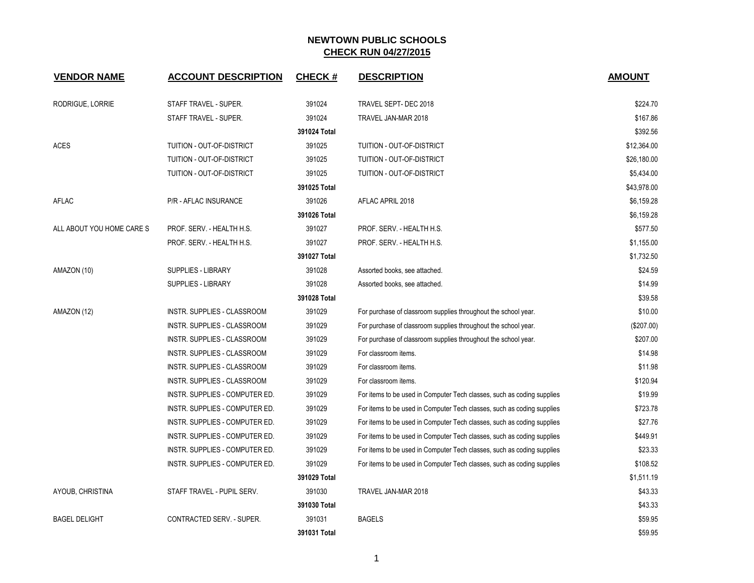| <b>VENDOR NAME</b>        | <b>ACCOUNT DESCRIPTION</b>     | <b>CHECK#</b> | <b>DESCRIPTION</b>                                                     | <b>AMOUNT</b> |
|---------------------------|--------------------------------|---------------|------------------------------------------------------------------------|---------------|
| RODRIGUE, LORRIE          | STAFF TRAVEL - SUPER.          | 391024        | TRAVEL SEPT- DEC 2018                                                  | \$224.70      |
|                           | STAFF TRAVEL - SUPER.          | 391024        | TRAVEL JAN-MAR 2018                                                    | \$167.86      |
|                           |                                | 391024 Total  |                                                                        | \$392.56      |
| <b>ACES</b>               | TUITION - OUT-OF-DISTRICT      | 391025        | TUITION - OUT-OF-DISTRICT                                              | \$12,364.00   |
|                           | TUITION - OUT-OF-DISTRICT      | 391025        | TUITION - OUT-OF-DISTRICT                                              | \$26,180.00   |
|                           | TUITION - OUT-OF-DISTRICT      | 391025        | TUITION - OUT-OF-DISTRICT                                              | \$5,434.00    |
|                           |                                | 391025 Total  |                                                                        | \$43,978.00   |
| AFLAC                     | P/R - AFLAC INSURANCE          | 391026        | AFLAC APRIL 2018                                                       | \$6,159.28    |
|                           |                                | 391026 Total  |                                                                        | \$6,159.28    |
| ALL ABOUT YOU HOME CARE S | PROF. SERV. - HEALTH H.S.      | 391027        | PROF. SERV. - HEALTH H.S.                                              | \$577.50      |
|                           | PROF. SERV. - HEALTH H.S.      | 391027        | PROF. SERV. - HEALTH H.S.                                              | \$1,155.00    |
|                           |                                | 391027 Total  |                                                                        | \$1,732.50    |
| AMAZON (10)               | SUPPLIES - LIBRARY             | 391028        | Assorted books, see attached.                                          | \$24.59       |
|                           | SUPPLIES - LIBRARY             | 391028        | Assorted books, see attached.                                          | \$14.99       |
|                           |                                | 391028 Total  |                                                                        | \$39.58       |
| AMAZON (12)               | INSTR. SUPPLIES - CLASSROOM    | 391029        | For purchase of classroom supplies throughout the school year.         | \$10.00       |
|                           | INSTR. SUPPLIES - CLASSROOM    | 391029        | For purchase of classroom supplies throughout the school year.         | (\$207.00)    |
|                           | INSTR. SUPPLIES - CLASSROOM    | 391029        | For purchase of classroom supplies throughout the school year.         | \$207.00      |
|                           | INSTR. SUPPLIES - CLASSROOM    | 391029        | For classroom items.                                                   | \$14.98       |
|                           | INSTR. SUPPLIES - CLASSROOM    | 391029        | For classroom items.                                                   | \$11.98       |
|                           | INSTR. SUPPLIES - CLASSROOM    | 391029        | For classroom items.                                                   | \$120.94      |
|                           | INSTR. SUPPLIES - COMPUTER ED. | 391029        | For items to be used in Computer Tech classes, such as coding supplies | \$19.99       |
|                           | INSTR. SUPPLIES - COMPUTER ED. | 391029        | For items to be used in Computer Tech classes, such as coding supplies | \$723.78      |
|                           | INSTR. SUPPLIES - COMPUTER ED. | 391029        | For items to be used in Computer Tech classes, such as coding supplies | \$27.76       |
|                           | INSTR. SUPPLIES - COMPUTER ED. | 391029        | For items to be used in Computer Tech classes, such as coding supplies | \$449.91      |
|                           | INSTR. SUPPLIES - COMPUTER ED. | 391029        | For items to be used in Computer Tech classes, such as coding supplies | \$23.33       |
|                           | INSTR. SUPPLIES - COMPUTER ED. | 391029        | For items to be used in Computer Tech classes, such as coding supplies | \$108.52      |
|                           |                                | 391029 Total  |                                                                        | \$1,511.19    |
| AYOUB, CHRISTINA          | STAFF TRAVEL - PUPIL SERV.     | 391030        | TRAVEL JAN-MAR 2018                                                    | \$43.33       |
|                           |                                | 391030 Total  |                                                                        | \$43.33       |
| <b>BAGEL DELIGHT</b>      | CONTRACTED SERV. - SUPER.      | 391031        | <b>BAGELS</b>                                                          | \$59.95       |
|                           |                                | 391031 Total  |                                                                        | \$59.95       |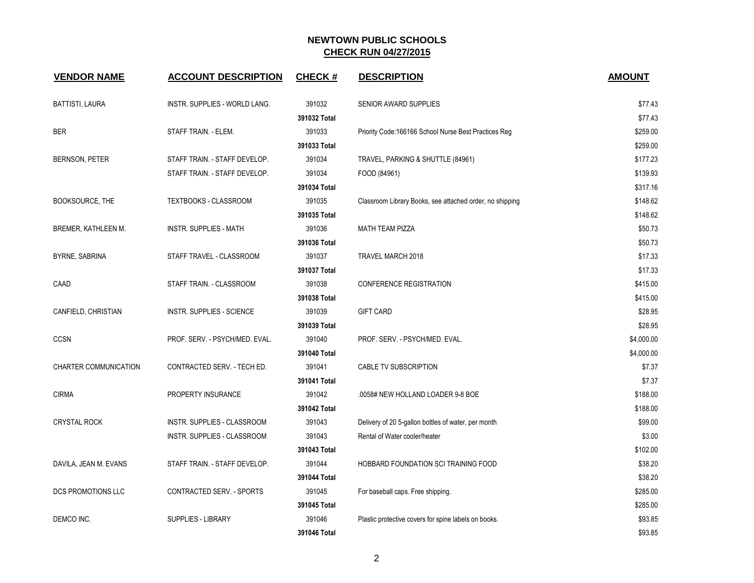| <b>VENDOR NAME</b>        | <b>ACCOUNT DESCRIPTION</b>       | <b>CHECK#</b> | <b>DESCRIPTION</b>                                       | <b>AMOUNT</b> |
|---------------------------|----------------------------------|---------------|----------------------------------------------------------|---------------|
| <b>BATTISTI, LAURA</b>    | INSTR. SUPPLIES - WORLD LANG.    | 391032        | SENIOR AWARD SUPPLIES                                    | \$77.43       |
|                           |                                  | 391032 Total  |                                                          | \$77.43       |
| <b>BER</b>                | STAFF TRAIN. - ELEM.             | 391033        | Priority Code:166166 School Nurse Best Practices Reg     | \$259.00      |
|                           |                                  | 391033 Total  |                                                          | \$259.00      |
| <b>BERNSON, PETER</b>     | STAFF TRAIN. - STAFF DEVELOP.    | 391034        | TRAVEL, PARKING & SHUTTLE (84961)                        | \$177.23      |
|                           | STAFF TRAIN. - STAFF DEVELOP.    | 391034        | FOOD (84961)                                             | \$139.93      |
|                           |                                  | 391034 Total  |                                                          | \$317.16      |
| <b>BOOKSOURCE, THE</b>    | TEXTBOOKS - CLASSROOM            | 391035        | Classroom Library Books, see attached order, no shipping | \$148.62      |
|                           |                                  | 391035 Total  |                                                          | \$148.62      |
| BREMER, KATHLEEN M.       | INSTR. SUPPLIES - MATH           | 391036        | <b>MATH TEAM PIZZA</b>                                   | \$50.73       |
|                           |                                  | 391036 Total  |                                                          | \$50.73       |
| BYRNE, SABRINA            | STAFF TRAVEL - CLASSROOM         | 391037        | TRAVEL MARCH 2018                                        | \$17.33       |
|                           |                                  | 391037 Total  |                                                          | \$17.33       |
| CAAD                      | STAFF TRAIN. - CLASSROOM         | 391038        | <b>CONFERENCE REGISTRATION</b>                           | \$415.00      |
|                           |                                  | 391038 Total  |                                                          | \$415.00      |
| CANFIELD, CHRISTIAN       | <b>INSTR. SUPPLIES - SCIENCE</b> | 391039        | <b>GIFT CARD</b>                                         | \$28.95       |
|                           |                                  | 391039 Total  |                                                          | \$28.95       |
| <b>CCSN</b>               | PROF. SERV. - PSYCH/MED. EVAL.   | 391040        | PROF. SERV. - PSYCH/MED. EVAL.                           | \$4,000.00    |
|                           |                                  | 391040 Total  |                                                          | \$4,000.00    |
| CHARTER COMMUNICATION     | CONTRACTED SERV. - TECH ED.      | 391041        | CABLE TV SUBSCRIPTION                                    | \$7.37        |
|                           |                                  | 391041 Total  |                                                          | \$7.37        |
| <b>CIRMA</b>              | PROPERTY INSURANCE               | 391042        | .0058# NEW HOLLAND LOADER 9-8 BOE                        | \$188.00      |
|                           |                                  | 391042 Total  |                                                          | \$188.00      |
| <b>CRYSTAL ROCK</b>       | INSTR. SUPPLIES - CLASSROOM      | 391043        | Delivery of 20 5-gallon bottles of water, per month      | \$99.00       |
|                           | INSTR. SUPPLIES - CLASSROOM      | 391043        | Rental of Water cooler/heater                            | \$3.00        |
|                           |                                  | 391043 Total  |                                                          | \$102.00      |
| DAVILA, JEAN M. EVANS     | STAFF TRAIN. - STAFF DEVELOP.    | 391044        | HOBBARD FOUNDATION SCI TRAINING FOOD                     | \$38.20       |
|                           |                                  | 391044 Total  |                                                          | \$38.20       |
| <b>DCS PROMOTIONS LLC</b> | <b>CONTRACTED SERV. - SPORTS</b> | 391045        | For baseball caps. Free shipping.                        | \$285.00      |
|                           |                                  | 391045 Total  |                                                          | \$285.00      |
| DEMCO INC.                | <b>SUPPLIES - LIBRARY</b>        | 391046        | Plastic protective covers for spine labels on books.     | \$93.85       |
|                           |                                  | 391046 Total  |                                                          | \$93.85       |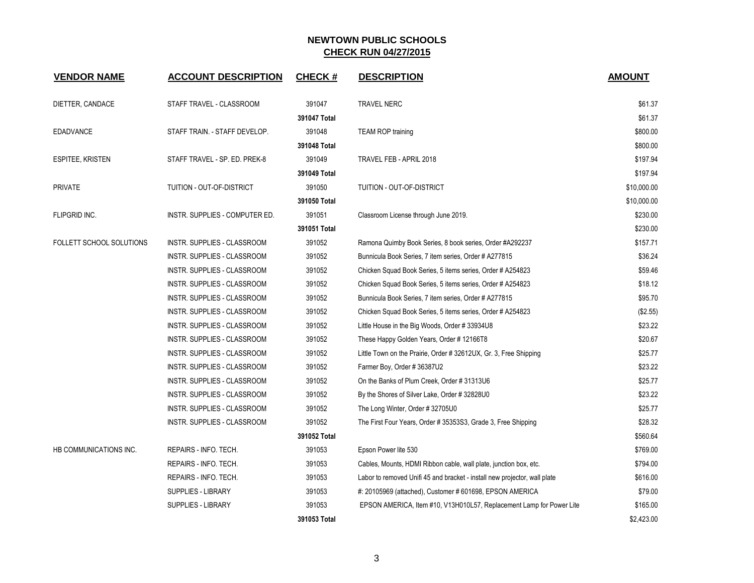| <b>VENDOR NAME</b>       | <b>ACCOUNT DESCRIPTION</b>     | <b>CHECK#</b> | <b>DESCRIPTION</b>                                                        | <b>AMOUNT</b> |
|--------------------------|--------------------------------|---------------|---------------------------------------------------------------------------|---------------|
| DIETTER, CANDACE         | STAFF TRAVEL - CLASSROOM       | 391047        | <b>TRAVEL NERC</b>                                                        | \$61.37       |
|                          |                                | 391047 Total  |                                                                           | \$61.37       |
| <b>EDADVANCE</b>         | STAFF TRAIN. - STAFF DEVELOP.  | 391048        | <b>TEAM ROP training</b>                                                  | \$800.00      |
|                          |                                | 391048 Total  |                                                                           | \$800.00      |
| ESPITEE, KRISTEN         | STAFF TRAVEL - SP. ED. PREK-8  | 391049        | TRAVEL FEB - APRIL 2018                                                   | \$197.94      |
|                          |                                | 391049 Total  |                                                                           | \$197.94      |
| <b>PRIVATE</b>           | TUITION - OUT-OF-DISTRICT      | 391050        | TUITION - OUT-OF-DISTRICT                                                 | \$10,000.00   |
|                          |                                | 391050 Total  |                                                                           | \$10,000.00   |
| <b>FLIPGRID INC.</b>     | INSTR. SUPPLIES - COMPUTER ED. | 391051        | Classroom License through June 2019.                                      | \$230.00      |
|                          |                                | 391051 Total  |                                                                           | \$230.00      |
| FOLLETT SCHOOL SOLUTIONS | INSTR. SUPPLIES - CLASSROOM    | 391052        | Ramona Quimby Book Series, 8 book series, Order #A292237                  | \$157.71      |
|                          | INSTR. SUPPLIES - CLASSROOM    | 391052        | Bunnicula Book Series, 7 item series, Order # A277815                     | \$36.24       |
|                          | INSTR. SUPPLIES - CLASSROOM    | 391052        | Chicken Squad Book Series, 5 items series, Order # A254823                | \$59.46       |
|                          | INSTR. SUPPLIES - CLASSROOM    | 391052        | Chicken Squad Book Series, 5 items series, Order # A254823                | \$18.12       |
|                          | INSTR. SUPPLIES - CLASSROOM    | 391052        | Bunnicula Book Series, 7 item series, Order # A277815                     | \$95.70       |
|                          | INSTR. SUPPLIES - CLASSROOM    | 391052        | Chicken Squad Book Series, 5 items series, Order # A254823                | (\$2.55)      |
|                          | INSTR. SUPPLIES - CLASSROOM    | 391052        | Little House in the Big Woods, Order #33934U8                             | \$23.22       |
|                          | INSTR. SUPPLIES - CLASSROOM    | 391052        | These Happy Golden Years, Order #12166T8                                  | \$20.67       |
|                          | INSTR. SUPPLIES - CLASSROOM    | 391052        | Little Town on the Prairie, Order # 32612UX, Gr. 3, Free Shipping         | \$25.77       |
|                          | INSTR. SUPPLIES - CLASSROOM    | 391052        | Farmer Boy, Order # 36387U2                                               | \$23.22       |
|                          | INSTR. SUPPLIES - CLASSROOM    | 391052        | On the Banks of Plum Creek, Order #31313U6                                | \$25.77       |
|                          | INSTR. SUPPLIES - CLASSROOM    | 391052        | By the Shores of Silver Lake, Order # 32828U0                             | \$23.22       |
|                          | INSTR. SUPPLIES - CLASSROOM    | 391052        | The Long Winter, Order #32705U0                                           | \$25.77       |
|                          | INSTR. SUPPLIES - CLASSROOM    | 391052        | The First Four Years, Order # 35353S3, Grade 3, Free Shipping             | \$28.32       |
|                          |                                | 391052 Total  |                                                                           | \$560.64      |
| HB COMMUNICATIONS INC.   | REPAIRS - INFO. TECH.          | 391053        | Epson Power lite 530                                                      | \$769.00      |
|                          | REPAIRS - INFO. TECH.          | 391053        | Cables, Mounts, HDMI Ribbon cable, wall plate, junction box, etc.         | \$794.00      |
|                          | REPAIRS - INFO. TECH.          | 391053        | Labor to removed Unifi 45 and bracket - install new projector, wall plate | \$616.00      |
|                          | <b>SUPPLIES - LIBRARY</b>      | 391053        | #: 20105969 (attached), Customer # 601698, EPSON AMERICA                  | \$79.00       |
|                          | SUPPLIES - LIBRARY             | 391053        | EPSON AMERICA, Item #10, V13H010L57, Replacement Lamp for Power Lite      | \$165.00      |
|                          |                                | 391053 Total  |                                                                           | \$2,423.00    |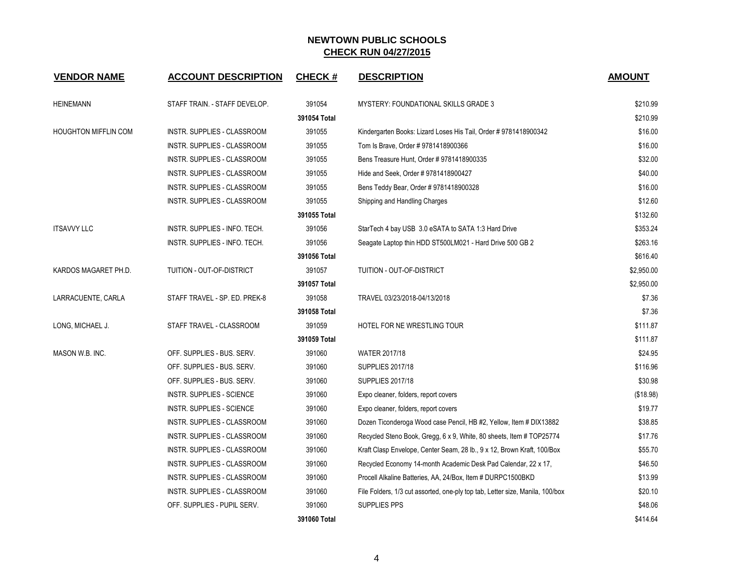| <b>VENDOR NAME</b>          | <b>ACCOUNT DESCRIPTION</b>    | <b>CHECK#</b> | <b>DESCRIPTION</b>                                                            | <b>AMOUNT</b> |
|-----------------------------|-------------------------------|---------------|-------------------------------------------------------------------------------|---------------|
| <b>HEINEMANN</b>            | STAFF TRAIN. - STAFF DEVELOP. | 391054        | <b>MYSTERY: FOUNDATIONAL SKILLS GRADE 3</b>                                   | \$210.99      |
|                             |                               | 391054 Total  |                                                                               | \$210.99      |
| <b>HOUGHTON MIFFLIN COM</b> | INSTR. SUPPLIES - CLASSROOM   | 391055        | Kindergarten Books: Lizard Loses His Tail, Order # 9781418900342              | \$16.00       |
|                             | INSTR. SUPPLIES - CLASSROOM   | 391055        | Tom Is Brave, Order #9781418900366                                            | \$16.00       |
|                             | INSTR. SUPPLIES - CLASSROOM   | 391055        | Bens Treasure Hunt, Order # 9781418900335                                     | \$32.00       |
|                             | INSTR. SUPPLIES - CLASSROOM   | 391055        | Hide and Seek, Order # 9781418900427                                          | \$40.00       |
|                             | INSTR. SUPPLIES - CLASSROOM   | 391055        | Bens Teddy Bear, Order # 9781418900328                                        | \$16.00       |
|                             | INSTR. SUPPLIES - CLASSROOM   | 391055        | Shipping and Handling Charges                                                 | \$12.60       |
|                             |                               | 391055 Total  |                                                                               | \$132.60      |
| <b>ITSAVVY LLC</b>          | INSTR. SUPPLIES - INFO. TECH. | 391056        | StarTech 4 bay USB 3.0 eSATA to SATA 1:3 Hard Drive                           | \$353.24      |
|                             | INSTR. SUPPLIES - INFO. TECH. | 391056        | Seagate Laptop thin HDD ST500LM021 - Hard Drive 500 GB 2                      | \$263.16      |
|                             |                               | 391056 Total  |                                                                               | \$616.40      |
| KARDOS MAGARET PH.D.        | TUITION - OUT-OF-DISTRICT     | 391057        | <b>TUITION - OUT-OF-DISTRICT</b>                                              | \$2,950.00    |
|                             |                               | 391057 Total  |                                                                               | \$2,950.00    |
| LARRACUENTE, CARLA          | STAFF TRAVEL - SP. ED. PREK-8 | 391058        | TRAVEL 03/23/2018-04/13/2018                                                  | \$7.36        |
|                             |                               | 391058 Total  |                                                                               | \$7.36        |
| LONG, MICHAEL J.            | STAFF TRAVEL - CLASSROOM      | 391059        | HOTEL FOR NE WRESTLING TOUR                                                   | \$111.87      |
|                             |                               | 391059 Total  |                                                                               | \$111.87      |
| MASON W.B. INC.             | OFF. SUPPLIES - BUS. SERV.    | 391060        | <b>WATER 2017/18</b>                                                          | \$24.95       |
|                             | OFF. SUPPLIES - BUS. SERV.    | 391060        | <b>SUPPLIES 2017/18</b>                                                       | \$116.96      |
|                             | OFF. SUPPLIES - BUS. SERV.    | 391060        | <b>SUPPLIES 2017/18</b>                                                       | \$30.98       |
|                             | INSTR. SUPPLIES - SCIENCE     | 391060        | Expo cleaner, folders, report covers                                          | (\$18.98)     |
|                             | INSTR. SUPPLIES - SCIENCE     | 391060        | Expo cleaner, folders, report covers                                          | \$19.77       |
|                             | INSTR. SUPPLIES - CLASSROOM   | 391060        | Dozen Ticonderoga Wood case Pencil, HB #2, Yellow, Item # DIX13882            | \$38.85       |
|                             | INSTR. SUPPLIES - CLASSROOM   | 391060        | Recycled Steno Book, Gregg, 6 x 9, White, 80 sheets, Item # TOP25774          | \$17.76       |
|                             | INSTR. SUPPLIES - CLASSROOM   | 391060        | Kraft Clasp Envelope, Center Seam, 28 lb., 9 x 12, Brown Kraft, 100/Box       | \$55.70       |
|                             | INSTR. SUPPLIES - CLASSROOM   | 391060        | Recycled Economy 14-month Academic Desk Pad Calendar, 22 x 17,                | \$46.50       |
|                             | INSTR. SUPPLIES - CLASSROOM   | 391060        | Procell Alkaline Batteries, AA, 24/Box, Item # DURPC1500BKD                   | \$13.99       |
|                             | INSTR. SUPPLIES - CLASSROOM   | 391060        | File Folders, 1/3 cut assorted, one-ply top tab, Letter size, Manila, 100/box | \$20.10       |
|                             | OFF. SUPPLIES - PUPIL SERV.   | 391060        | <b>SUPPLIES PPS</b>                                                           | \$48.06       |
|                             |                               | 391060 Total  |                                                                               | \$414.64      |